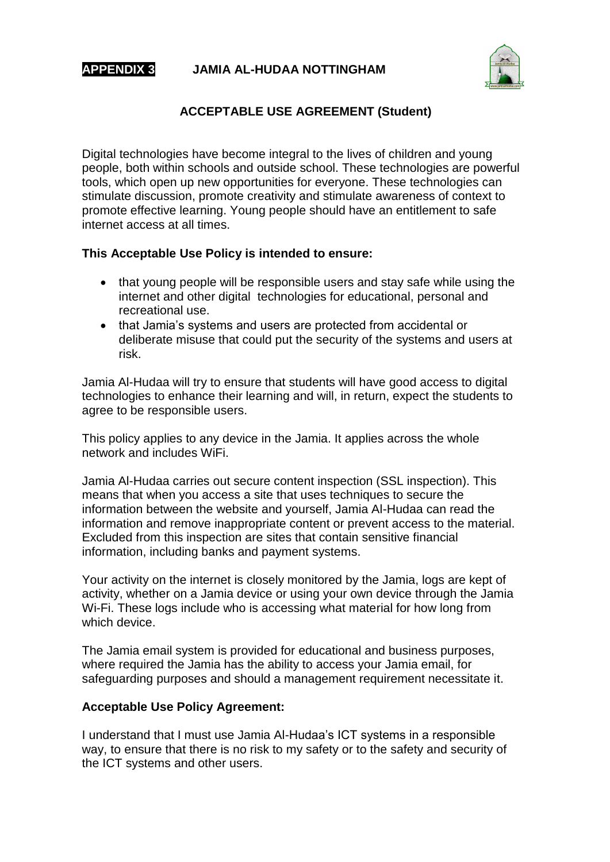

#### **APPENDIX 3 JAMIA AL-HUDAA NOTTINGHAM**



## **ACCEPTABLE USE AGREEMENT (Student)**

Digital technologies have become integral to the lives of children and young people, both within schools and outside school. These technologies are powerful tools, which open up new opportunities for everyone. These technologies can stimulate discussion, promote creativity and stimulate awareness of context to promote effective learning. Young people should have an entitlement to safe internet access at all times.

#### **This Acceptable Use Policy is intended to ensure:**

- that young people will be responsible users and stay safe while using the internet and other digital technologies for educational, personal and recreational use.
- that Jamia's systems and users are protected from accidental or deliberate misuse that could put the security of the systems and users at risk.

Jamia Al-Hudaa will try to ensure that students will have good access to digital technologies to enhance their learning and will, in return, expect the students to agree to be responsible users.

This policy applies to any device in the Jamia. It applies across the whole network and includes WiFi.

Jamia Al-Hudaa carries out secure content inspection (SSL inspection). This means that when you access a site that uses techniques to secure the information between the website and yourself, Jamia Al-Hudaa can read the information and remove inappropriate content or prevent access to the material. Excluded from this inspection are sites that contain sensitive financial information, including banks and payment systems.

Your activity on the internet is closely monitored by the Jamia, logs are kept of activity, whether on a Jamia device or using your own device through the Jamia Wi-Fi. These logs include who is accessing what material for how long from which device.

The Jamia email system is provided for educational and business purposes, where required the Jamia has the ability to access your Jamia email, for safeguarding purposes and should a management requirement necessitate it.

#### **Acceptable Use Policy Agreement:**

I understand that I must use Jamia Al-Hudaa's ICT systems in a responsible way, to ensure that there is no risk to my safety or to the safety and security of the ICT systems and other users.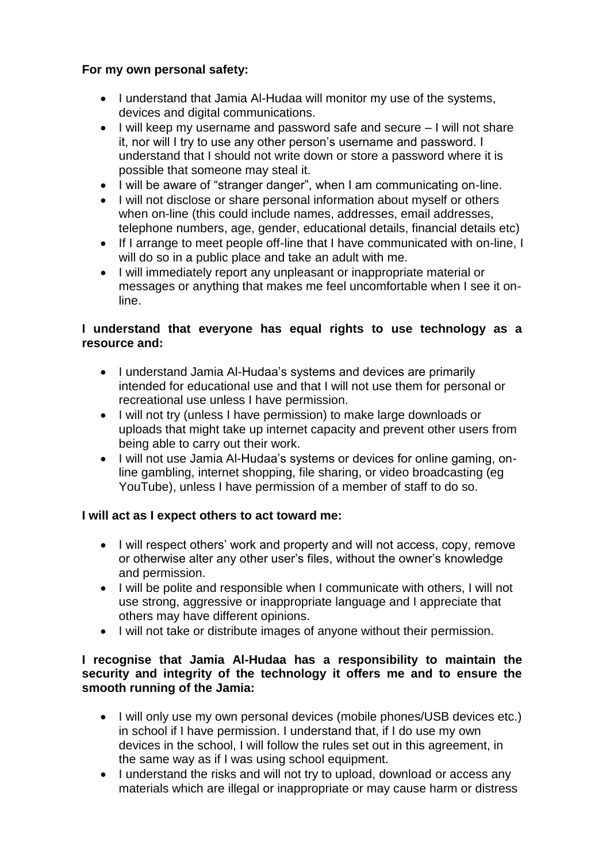## **For my own personal safety:**

- I understand that Jamia Al-Hudaa will monitor my use of the systems, devices and digital communications.
- $\bullet$  I will keep my username and password safe and secure  $-1$  will not share it, nor will I try to use any other person's username and password. I understand that I should not write down or store a password where it is possible that someone may steal it.
- I will be aware of "stranger danger", when I am communicating on-line.
- I will not disclose or share personal information about myself or others when on-line (this could include names, addresses, email addresses, telephone numbers, age, gender, educational details, financial details etc)
- If I arrange to meet people off-line that I have communicated with on-line, I will do so in a public place and take an adult with me.
- I will immediately report any unpleasant or inappropriate material or messages or anything that makes me feel uncomfortable when I see it online.

## **I understand that everyone has equal rights to use technology as a resource and:**

- I understand Jamia Al-Hudaa's systems and devices are primarily intended for educational use and that I will not use them for personal or recreational use unless I have permission.
- I will not try (unless I have permission) to make large downloads or uploads that might take up internet capacity and prevent other users from being able to carry out their work.
- I will not use Jamia Al-Hudaa's systems or devices for online gaming, online gambling, internet shopping, file sharing, or video broadcasting (eg YouTube), unless I have permission of a member of staff to do so.

## **I will act as I expect others to act toward me:**

- I will respect others' work and property and will not access, copy, remove or otherwise alter any other user's files, without the owner's knowledge and permission.
- I will be polite and responsible when I communicate with others, I will not use strong, aggressive or inappropriate language and I appreciate that others may have different opinions.
- I will not take or distribute images of anyone without their permission.

### **I recognise that Jamia Al-Hudaa has a responsibility to maintain the security and integrity of the technology it offers me and to ensure the smooth running of the Jamia:**

- I will only use my own personal devices (mobile phones/USB devices etc.) in school if I have permission. I understand that, if I do use my own devices in the school, I will follow the rules set out in this agreement, in the same way as if I was using school equipment.
- I understand the risks and will not try to upload, download or access any materials which are illegal or inappropriate or may cause harm or distress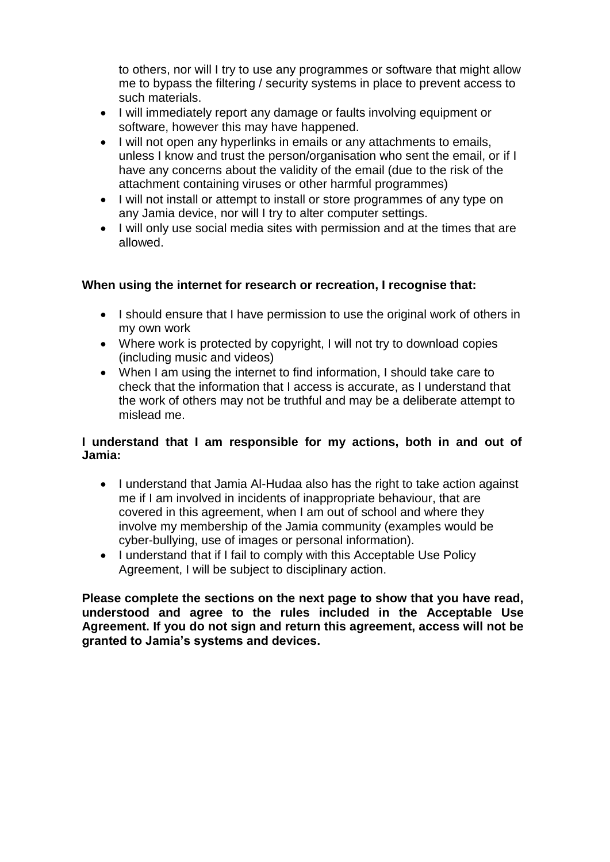to others, nor will I try to use any programmes or software that might allow me to bypass the filtering / security systems in place to prevent access to such materials.

- I will immediately report any damage or faults involving equipment or software, however this may have happened.
- I will not open any hyperlinks in emails or any attachments to emails, unless I know and trust the person/organisation who sent the email, or if I have any concerns about the validity of the email (due to the risk of the attachment containing viruses or other harmful programmes)
- I will not install or attempt to install or store programmes of any type on any Jamia device, nor will I try to alter computer settings.
- I will only use social media sites with permission and at the times that are allowed.

### **When using the internet for research or recreation, I recognise that:**

- I should ensure that I have permission to use the original work of others in my own work
- Where work is protected by copyright, I will not try to download copies (including music and videos)
- When I am using the internet to find information, I should take care to check that the information that I access is accurate, as I understand that the work of others may not be truthful and may be a deliberate attempt to mislead me.

#### **I understand that I am responsible for my actions, both in and out of Jamia:**

- I understand that Jamia Al-Hudaa also has the right to take action against me if I am involved in incidents of inappropriate behaviour, that are covered in this agreement, when I am out of school and where they involve my membership of the Jamia community (examples would be cyber-bullying, use of images or personal information).
- I understand that if I fail to comply with this Acceptable Use Policy Agreement, I will be subject to disciplinary action.

**Please complete the sections on the next page to show that you have read, understood and agree to the rules included in the Acceptable Use Agreement. If you do not sign and return this agreement, access will not be granted to Jamia's systems and devices.**